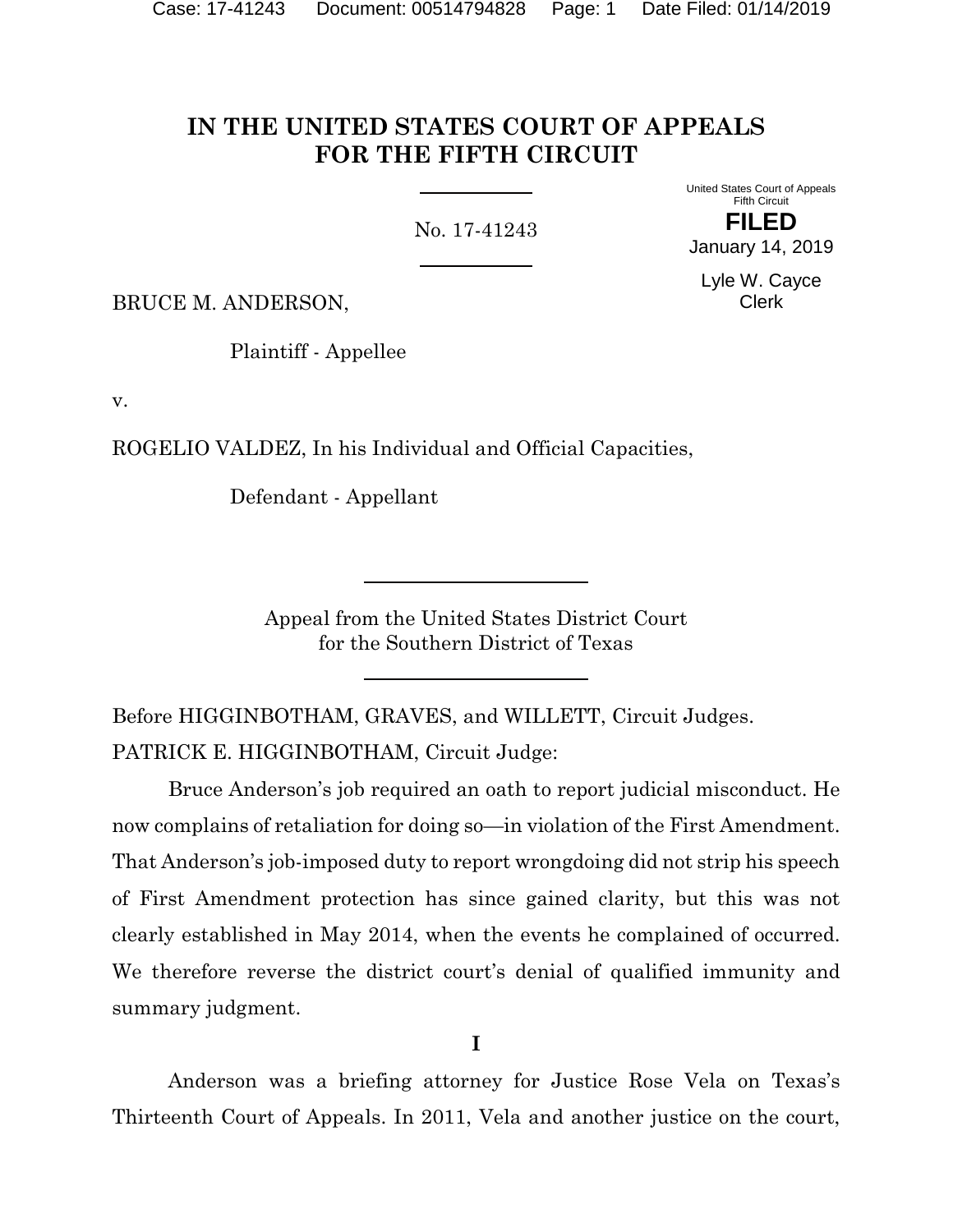## **IN THE UNITED STATES COURT OF APPEALS FOR THE FIFTH CIRCUIT**

No. 17-41243

Fifth Circuit **FILED** January 14, 2019

Lyle W. Cayce Clerk

United States Court of Appeals

BRUCE M. ANDERSON,

Plaintiff - Appellee

v.

ROGELIO VALDEZ, In his Individual and Official Capacities,

Defendant - Appellant

Appeal from the United States District Court for the Southern District of Texas

Before HIGGINBOTHAM, GRAVES, and WILLETT, Circuit Judges. PATRICK E. HIGGINBOTHAM, Circuit Judge:

Bruce Anderson's job required an oath to report judicial misconduct. He now complains of retaliation for doing so—in violation of the First Amendment. That Anderson's job-imposed duty to report wrongdoing did not strip his speech of First Amendment protection has since gained clarity, but this was not clearly established in May 2014, when the events he complained of occurred. We therefore reverse the district court's denial of qualified immunity and summary judgment.

**I**

Anderson was a briefing attorney for Justice Rose Vela on Texas's Thirteenth Court of Appeals. In 2011, Vela and another justice on the court,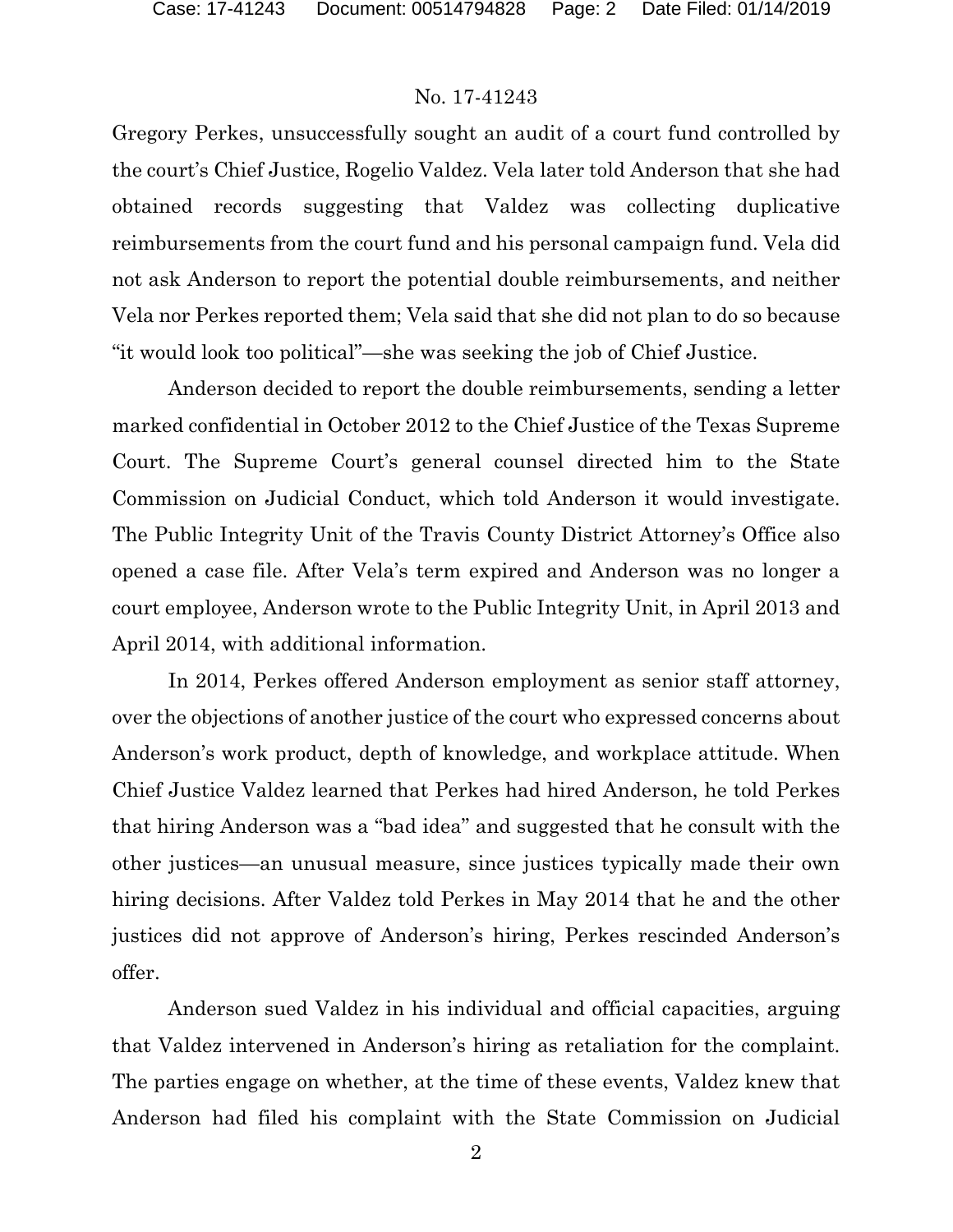Gregory Perkes, unsuccessfully sought an audit of a court fund controlled by the court's Chief Justice, Rogelio Valdez. Vela later told Anderson that she had obtained records suggesting that Valdez was collecting duplicative reimbursements from the court fund and his personal campaign fund. Vela did not ask Anderson to report the potential double reimbursements, and neither Vela nor Perkes reported them; Vela said that she did not plan to do so because "it would look too political"—she was seeking the job of Chief Justice.

Anderson decided to report the double reimbursements, sending a letter marked confidential in October 2012 to the Chief Justice of the Texas Supreme Court. The Supreme Court's general counsel directed him to the State Commission on Judicial Conduct, which told Anderson it would investigate. The Public Integrity Unit of the Travis County District Attorney's Office also opened a case file. After Vela's term expired and Anderson was no longer a court employee, Anderson wrote to the Public Integrity Unit, in April 2013 and April 2014, with additional information.

In 2014, Perkes offered Anderson employment as senior staff attorney, over the objections of another justice of the court who expressed concerns about Anderson's work product, depth of knowledge, and workplace attitude. When Chief Justice Valdez learned that Perkes had hired Anderson, he told Perkes that hiring Anderson was a "bad idea" and suggested that he consult with the other justices—an unusual measure, since justices typically made their own hiring decisions. After Valdez told Perkes in May 2014 that he and the other justices did not approve of Anderson's hiring, Perkes rescinded Anderson's offer.

Anderson sued Valdez in his individual and official capacities, arguing that Valdez intervened in Anderson's hiring as retaliation for the complaint. The parties engage on whether, at the time of these events, Valdez knew that Anderson had filed his complaint with the State Commission on Judicial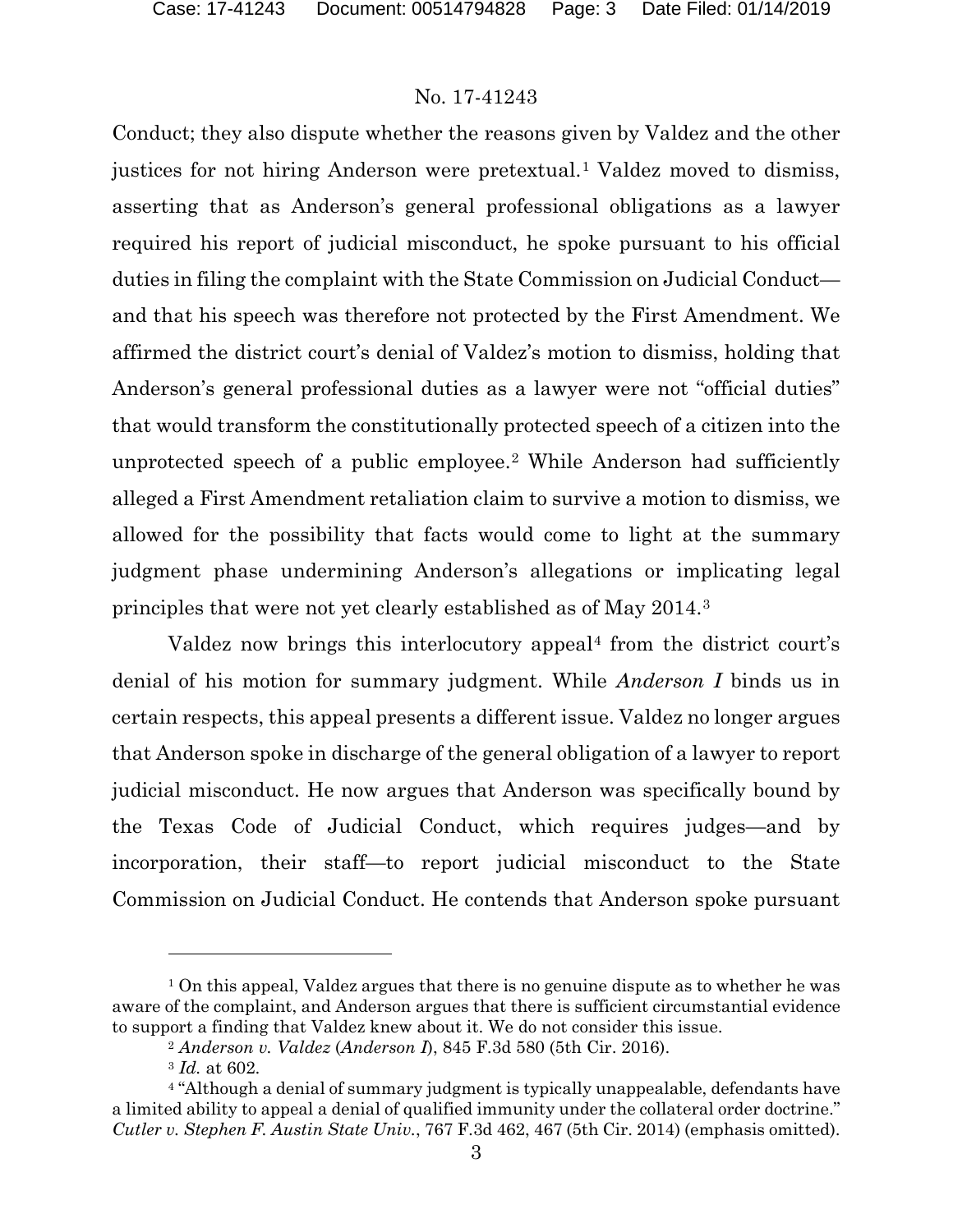Conduct; they also dispute whether the reasons given by Valdez and the other justices for not hiring Anderson were pretextual.<sup>[1](#page-2-0)</sup> Valdez moved to dismiss, asserting that as Anderson's general professional obligations as a lawyer required his report of judicial misconduct, he spoke pursuant to his official duties in filing the complaint with the State Commission on Judicial Conduct and that his speech was therefore not protected by the First Amendment. We affirmed the district court's denial of Valdez's motion to dismiss, holding that Anderson's general professional duties as a lawyer were not "official duties" that would transform the constitutionally protected speech of a citizen into the unprotected speech of a public employee.[2](#page-2-1) While Anderson had sufficiently alleged a First Amendment retaliation claim to survive a motion to dismiss, we allowed for the possibility that facts would come to light at the summary judgment phase undermining Anderson's allegations or implicating legal principles that were not yet clearly established as of May 2014.[3](#page-2-2)

Valdez now brings this interlocutory appeal<sup>[4](#page-2-3)</sup> from the district court's denial of his motion for summary judgment. While *Anderson I* binds us in certain respects, this appeal presents a different issue. Valdez no longer argues that Anderson spoke in discharge of the general obligation of a lawyer to report judicial misconduct. He now argues that Anderson was specifically bound by the Texas Code of Judicial Conduct, which requires judges—and by incorporation, their staff—to report judicial misconduct to the State Commission on Judicial Conduct. He contends that Anderson spoke pursuant

<span id="page-2-0"></span> $1$  On this appeal, Valdez argues that there is no genuine dispute as to whether he was aware of the complaint, and Anderson argues that there is sufficient circumstantial evidence to support a finding that Valdez knew about it. We do not consider this issue.

<sup>2</sup> *Anderson v. Valdez* (*Anderson I*), 845 F.3d 580 (5th Cir. 2016).

<sup>3</sup> *Id.* at 602.

<span id="page-2-3"></span><span id="page-2-2"></span><span id="page-2-1"></span><sup>4</sup> "Although a denial of summary judgment is typically unappealable, defendants have a limited ability to appeal a denial of qualified immunity under the collateral order doctrine." *Cutler v. Stephen F. Austin State Univ.*, 767 F.3d 462, 467 (5th Cir. 2014) (emphasis omitted).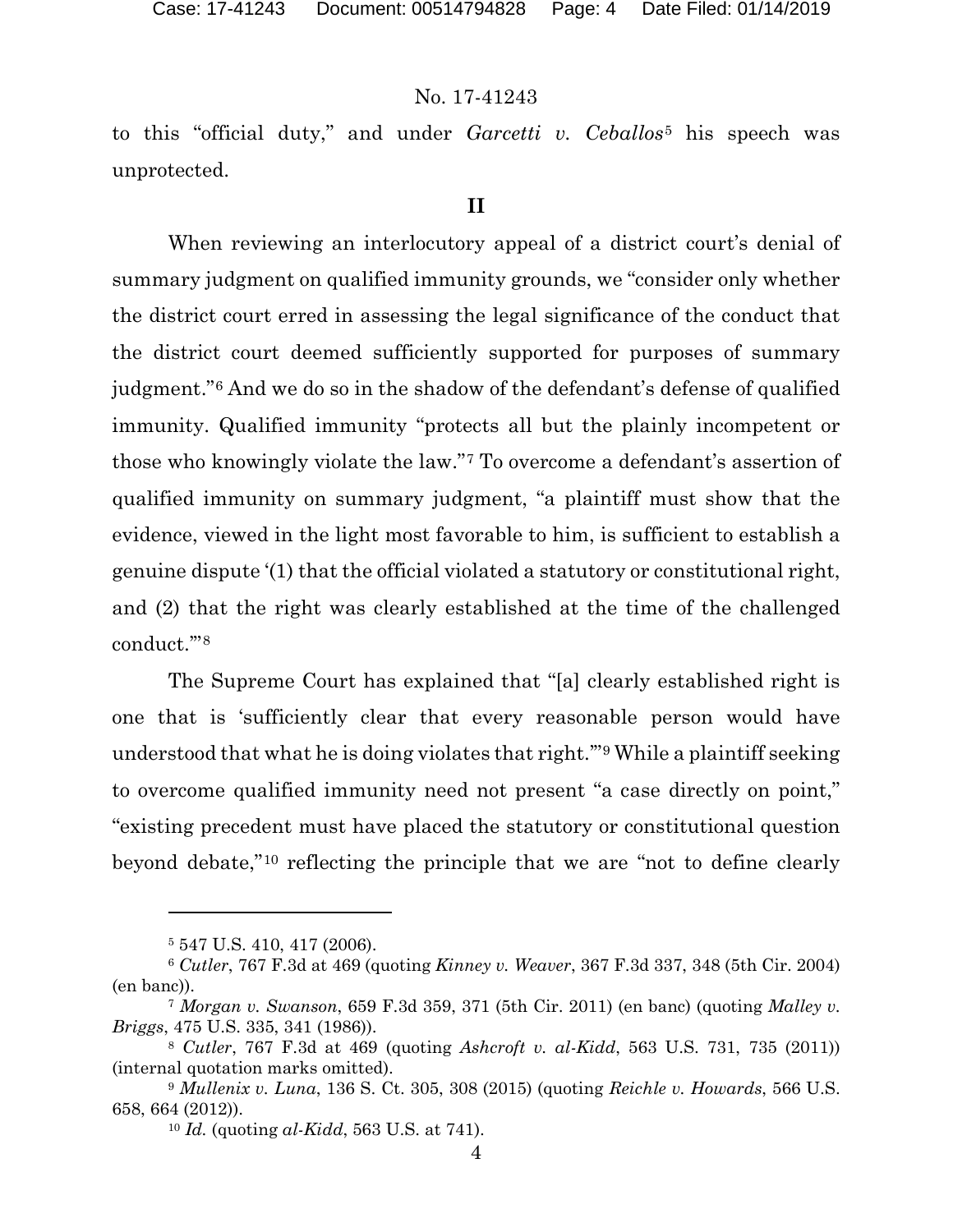to this "official duty," and under *Garcetti v. Ceballos*[5](#page-3-0) his speech was unprotected.

#### **II**

When reviewing an interlocutory appeal of a district court's denial of summary judgment on qualified immunity grounds, we "consider only whether the district court erred in assessing the legal significance of the conduct that the district court deemed sufficiently supported for purposes of summary judgment."[6](#page-3-1) And we do so in the shadow of the defendant's defense of qualified immunity. Qualified immunity "protects all but the plainly incompetent or those who knowingly violate the law."[7](#page-3-2) To overcome a defendant's assertion of qualified immunity on summary judgment, "a plaintiff must show that the evidence, viewed in the light most favorable to him, is sufficient to establish a genuine dispute '(1) that the official violated a statutory or constitutional right, and (2) that the right was clearly established at the time of the challenged conduct.'"[8](#page-3-3)

The Supreme Court has explained that "[a] clearly established right is one that is 'sufficiently clear that every reasonable person would have understood that what he is doing violates that right.'"[9](#page-3-4) While a plaintiff seeking to overcome qualified immunity need not present "a case directly on point," "existing precedent must have placed the statutory or constitutional question beyond debate,"[10](#page-3-5) reflecting the principle that we are "not to define clearly

<sup>5</sup> 547 U.S. 410, 417 (2006).

<span id="page-3-1"></span><span id="page-3-0"></span><sup>6</sup> *Cutler*, 767 F.3d at 469 (quoting *Kinney v. Weaver*, 367 F.3d 337, 348 (5th Cir. 2004) (en banc)).

<span id="page-3-2"></span><sup>7</sup> *Morgan v. Swanson*, 659 F.3d 359, 371 (5th Cir. 2011) (en banc) (quoting *Malley v. Briggs*, 475 U.S. 335, 341 (1986)). 8 *Cutler*, 767 F.3d at 469 (quoting *Ashcroft v. al-Kidd*, 563 U.S. 731, 735 (2011))

<span id="page-3-3"></span><sup>(</sup>internal quotation marks omitted).

<span id="page-3-5"></span><span id="page-3-4"></span><sup>9</sup> *Mullenix v. Luna*, 136 S. Ct. 305, 308 (2015) (quoting *Reichle v. Howards*, 566 U.S. 658, 664 (2012)).

<sup>10</sup> *Id.* (quoting *al-Kidd*, 563 U.S. at 741).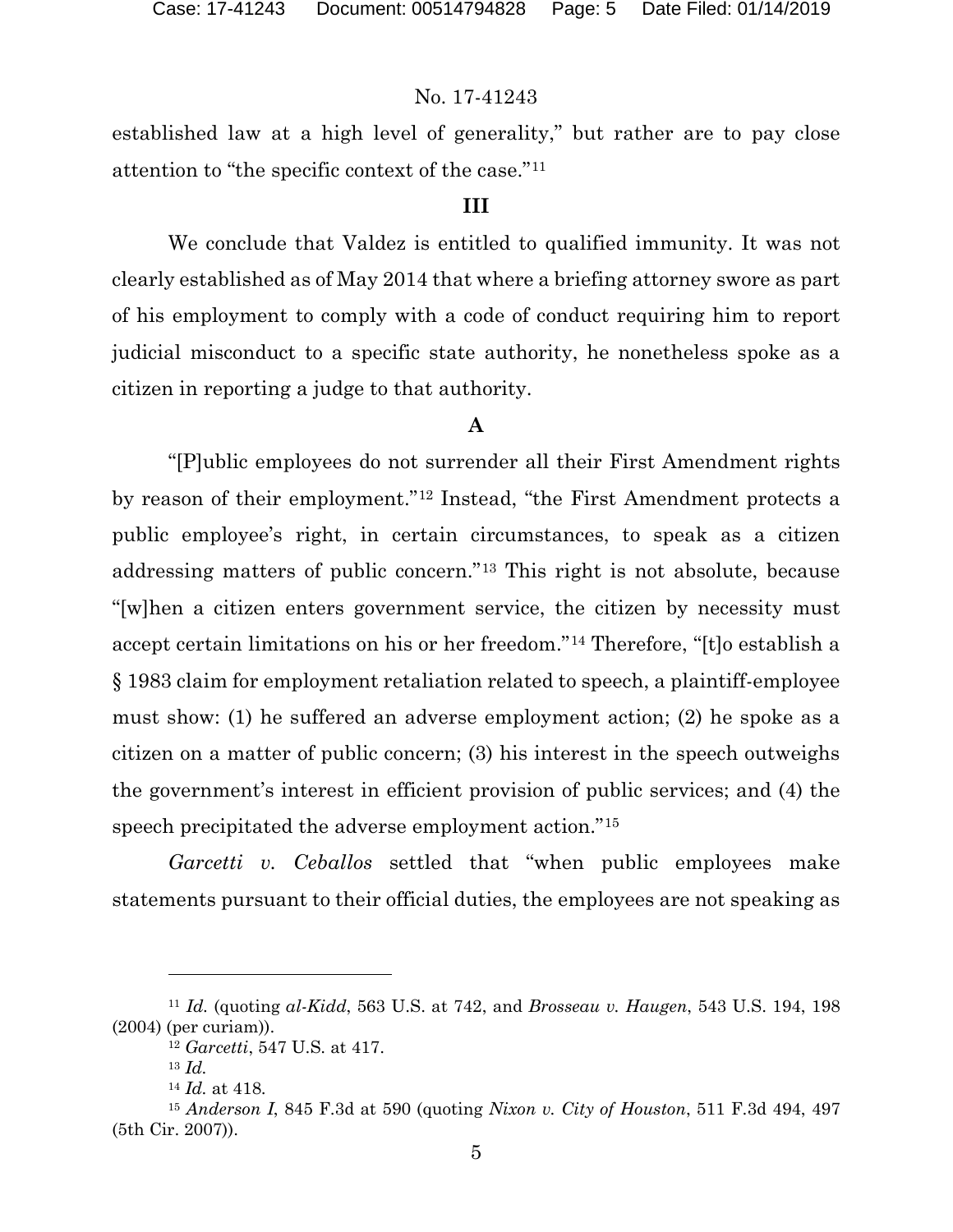established law at a high level of generality," but rather are to pay close attention to "the specific context of the case."[11](#page-4-0)

#### **III**

We conclude that Valdez is entitled to qualified immunity. It was not clearly established as of May 2014 that where a briefing attorney swore as part of his employment to comply with a code of conduct requiring him to report judicial misconduct to a specific state authority, he nonetheless spoke as a citizen in reporting a judge to that authority.

#### **A**

"[P]ublic employees do not surrender all their First Amendment rights by reason of their employment."[12](#page-4-1) Instead, "the First Amendment protects a public employee's right, in certain circumstances, to speak as a citizen addressing matters of public concern."[13](#page-4-2) This right is not absolute, because "[w]hen a citizen enters government service, the citizen by necessity must accept certain limitations on his or her freedom."[14](#page-4-3) Therefore, "[t]o establish a § 1983 claim for employment retaliation related to speech, a plaintiff-employee must show: (1) he suffered an adverse employment action; (2) he spoke as a citizen on a matter of public concern; (3) his interest in the speech outweighs the government's interest in efficient provision of public services; and (4) the speech precipitated the adverse employment action."[15](#page-4-4)

*Garcetti v. Ceballos* settled that "when public employees make statements pursuant to their official duties, the employees are not speaking as

<span id="page-4-1"></span><span id="page-4-0"></span><sup>11</sup> *Id.* (quoting *al-Kidd*, 563 U.S. at 742, and *Brosseau v. Haugen*, 543 U.S. 194, 198 (2004) (per curiam)).

<sup>12</sup> *Garcetti*, 547 U.S. at 417.

<sup>13</sup> *Id.*

<sup>14</sup> *Id.* at 418.

<span id="page-4-4"></span><span id="page-4-3"></span><span id="page-4-2"></span><sup>15</sup> *Anderson I*, 845 F.3d at 590 (quoting *Nixon v. City of Houston*, 511 F.3d 494, 497 (5th Cir. 2007)).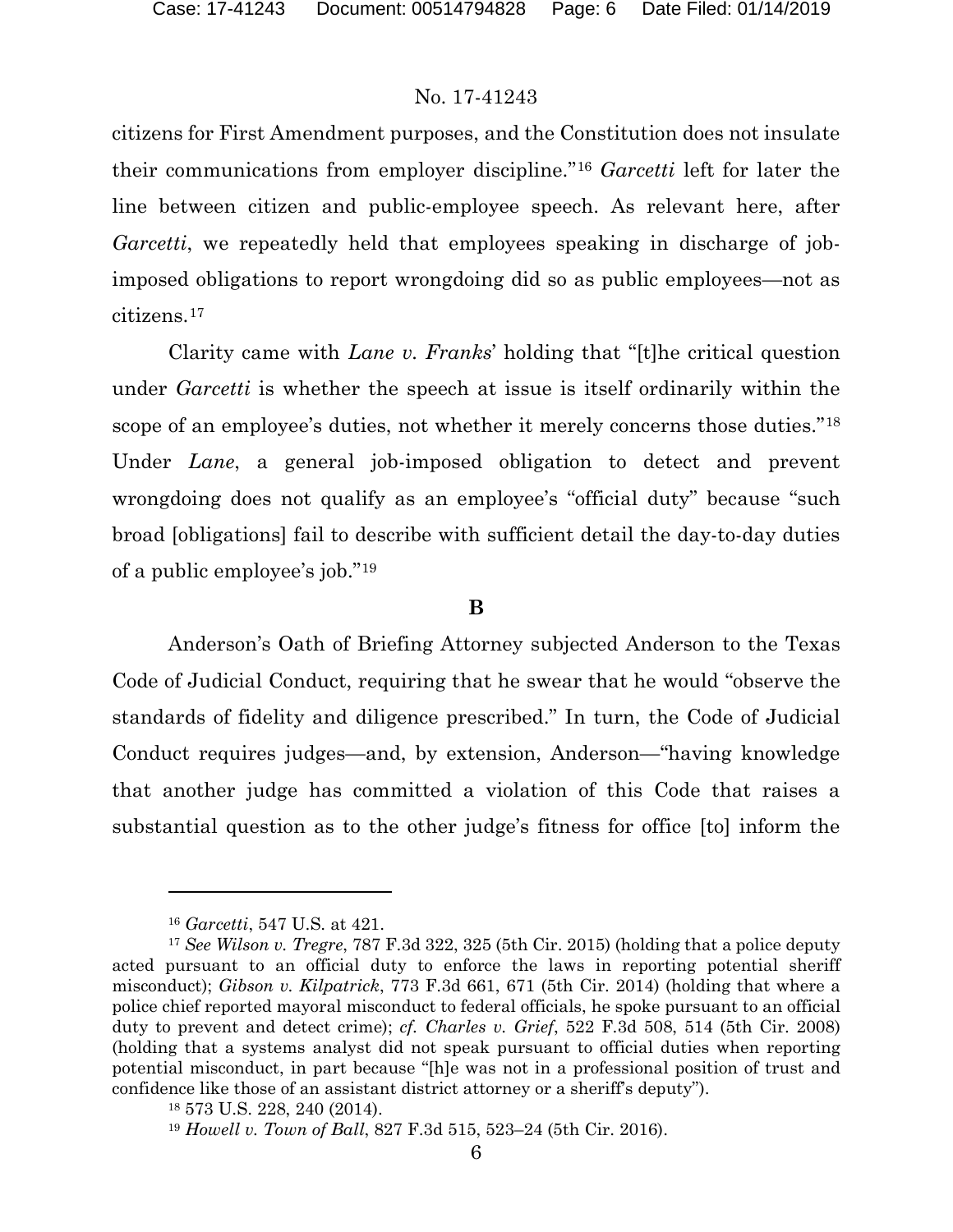citizens for First Amendment purposes, and the Constitution does not insulate their communications from employer discipline."[16](#page-5-0) *Garcetti* left for later the line between citizen and public-employee speech. As relevant here, after *Garcetti*, we repeatedly held that employees speaking in discharge of jobimposed obligations to report wrongdoing did so as public employees—not as citizens.[17](#page-5-1)

Clarity came with *Lane v. Franks*' holding that "[t]he critical question under *Garcetti* is whether the speech at issue is itself ordinarily within the scope of an employee's duties, not whether it merely concerns those duties."[18](#page-5-2) Under *Lane*, a general job-imposed obligation to detect and prevent wrongdoing does not qualify as an employee's "official duty" because "such broad [obligations] fail to describe with sufficient detail the day-to-day duties of a public employee's job."[19](#page-5-3)

#### **B**

Anderson's Oath of Briefing Attorney subjected Anderson to the Texas Code of Judicial Conduct, requiring that he swear that he would "observe the standards of fidelity and diligence prescribed." In turn, the Code of Judicial Conduct requires judges—and, by extension, Anderson—"having knowledge that another judge has committed a violation of this Code that raises a substantial question as to the other judge's fitness for office [to] inform the

<sup>16</sup> *Garcetti*, 547 U.S. at 421.

<span id="page-5-1"></span><span id="page-5-0"></span><sup>17</sup> *See Wilson v. Tregre*, 787 F.3d 322, 325 (5th Cir. 2015) (holding that a police deputy acted pursuant to an official duty to enforce the laws in reporting potential sheriff misconduct); *Gibson v. Kilpatrick*, 773 F.3d 661, 671 (5th Cir. 2014) (holding that where a police chief reported mayoral misconduct to federal officials, he spoke pursuant to an official duty to prevent and detect crime); *cf. Charles v. Grief*, 522 F.3d 508, 514 (5th Cir. 2008) (holding that a systems analyst did not speak pursuant to official duties when reporting potential misconduct, in part because "[h]e was not in a professional position of trust and confidence like those of an assistant district attorney or a sheriff's deputy").

<sup>18</sup> 573 U.S. 228, 240 (2014).

<span id="page-5-3"></span><span id="page-5-2"></span><sup>19</sup> *Howell v. Town of Ball*, 827 F.3d 515, 523–24 (5th Cir. 2016).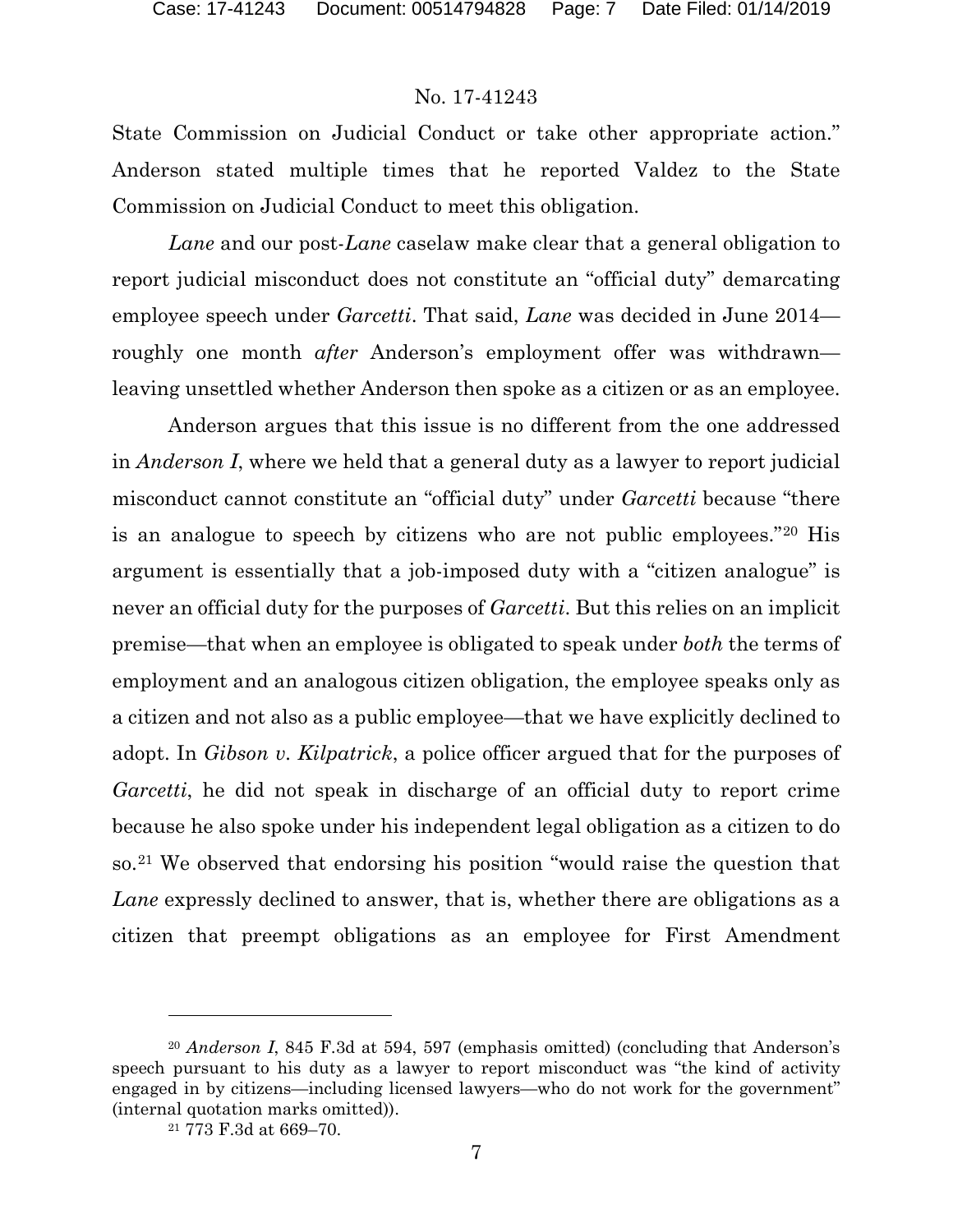State Commission on Judicial Conduct or take other appropriate action." Anderson stated multiple times that he reported Valdez to the State Commission on Judicial Conduct to meet this obligation.

*Lane* and our post-*Lane* caselaw make clear that a general obligation to report judicial misconduct does not constitute an "official duty" demarcating employee speech under *Garcetti*. That said, *Lane* was decided in June 2014 roughly one month *after* Anderson's employment offer was withdrawn leaving unsettled whether Anderson then spoke as a citizen or as an employee.

Anderson argues that this issue is no different from the one addressed in *Anderson I*, where we held that a general duty as a lawyer to report judicial misconduct cannot constitute an "official duty" under *Garcetti* because "there is an analogue to speech by citizens who are not public employees."[20](#page-6-0) His argument is essentially that a job-imposed duty with a "citizen analogue" is never an official duty for the purposes of *Garcetti*. But this relies on an implicit premise—that when an employee is obligated to speak under *both* the terms of employment and an analogous citizen obligation, the employee speaks only as a citizen and not also as a public employee—that we have explicitly declined to adopt. In *Gibson v. Kilpatrick*, a police officer argued that for the purposes of *Garcetti*, he did not speak in discharge of an official duty to report crime because he also spoke under his independent legal obligation as a citizen to do so.[21](#page-6-1) We observed that endorsing his position "would raise the question that *Lane* expressly declined to answer, that is, whether there are obligations as a citizen that preempt obligations as an employee for First Amendment

l

<span id="page-6-1"></span><span id="page-6-0"></span><sup>20</sup> *Anderson I*, 845 F.3d at 594, 597 (emphasis omitted) (concluding that Anderson's speech pursuant to his duty as a lawyer to report misconduct was "the kind of activity engaged in by citizens—including licensed lawyers—who do not work for the government" (internal quotation marks omitted)).

<sup>21</sup> 773 F.3d at 669–70.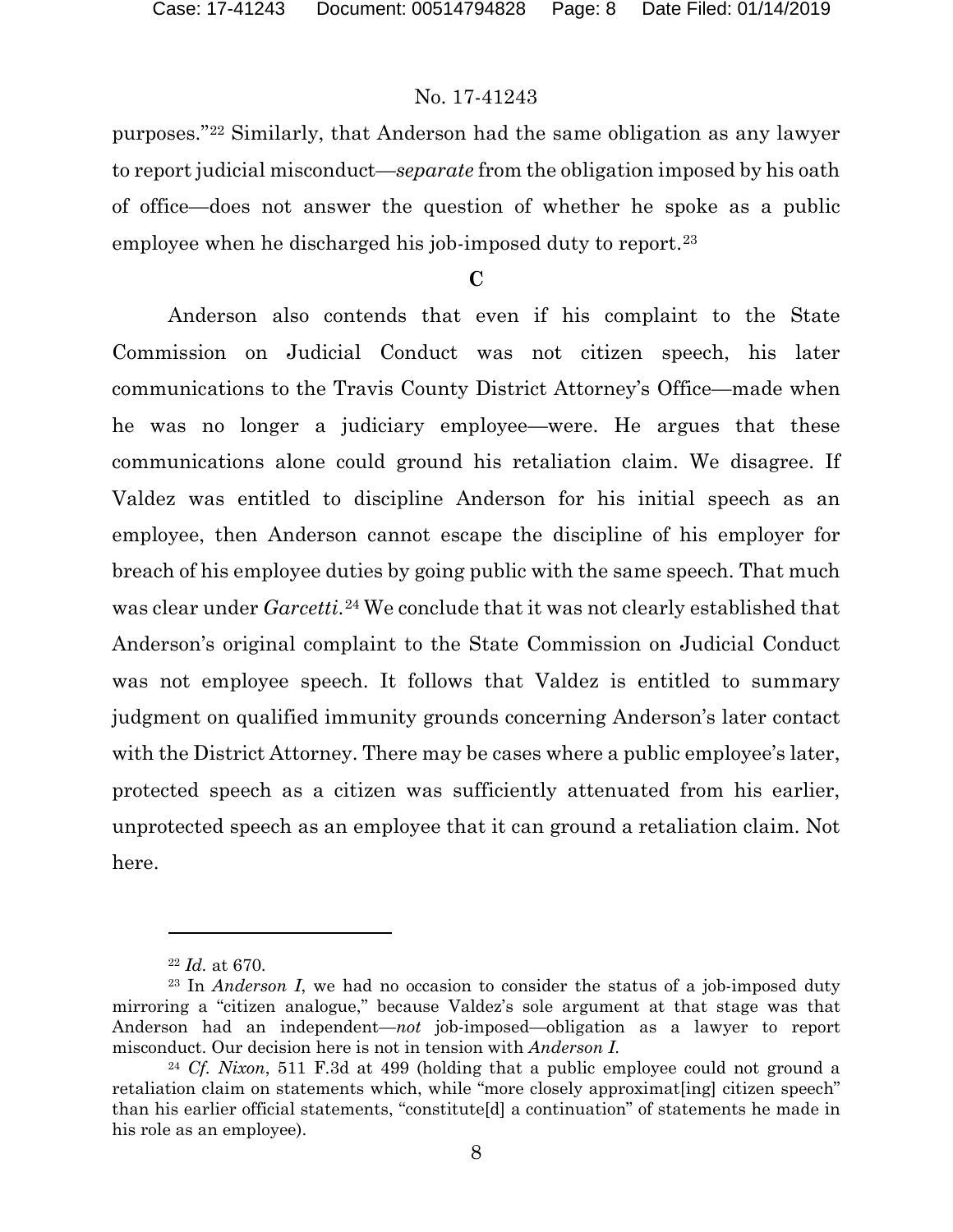purposes."[22](#page-7-0) Similarly, that Anderson had the same obligation as any lawyer to report judicial misconduct—*separate* from the obligation imposed by his oath of office—does not answer the question of whether he spoke as a public employee when he discharged his job-imposed duty to report.<sup>[23](#page-7-1)</sup>

#### **C**

Anderson also contends that even if his complaint to the State Commission on Judicial Conduct was not citizen speech, his later communications to the Travis County District Attorney's Office—made when he was no longer a judiciary employee—were. He argues that these communications alone could ground his retaliation claim. We disagree. If Valdez was entitled to discipline Anderson for his initial speech as an employee, then Anderson cannot escape the discipline of his employer for breach of his employee duties by going public with the same speech. That much was clear under *Garcetti*.<sup>[24](#page-7-2)</sup> We conclude that it was not clearly established that Anderson's original complaint to the State Commission on Judicial Conduct was not employee speech. It follows that Valdez is entitled to summary judgment on qualified immunity grounds concerning Anderson's later contact with the District Attorney. There may be cases where a public employee's later, protected speech as a citizen was sufficiently attenuated from his earlier, unprotected speech as an employee that it can ground a retaliation claim. Not here.

l

<sup>22</sup> *Id.* at 670.

<span id="page-7-1"></span><span id="page-7-0"></span><sup>23</sup> In *Anderson I*, we had no occasion to consider the status of a job-imposed duty mirroring a "citizen analogue," because Valdez's sole argument at that stage was that Anderson had an independent—*not* job-imposed—obligation as a lawyer to report misconduct. Our decision here is not in tension with *Anderson I*.

<span id="page-7-2"></span><sup>24</sup> *Cf. Nixon*, 511 F.3d at 499 (holding that a public employee could not ground a retaliation claim on statements which, while "more closely approximat[ing] citizen speech" than his earlier official statements, "constitute[d] a continuation" of statements he made in his role as an employee).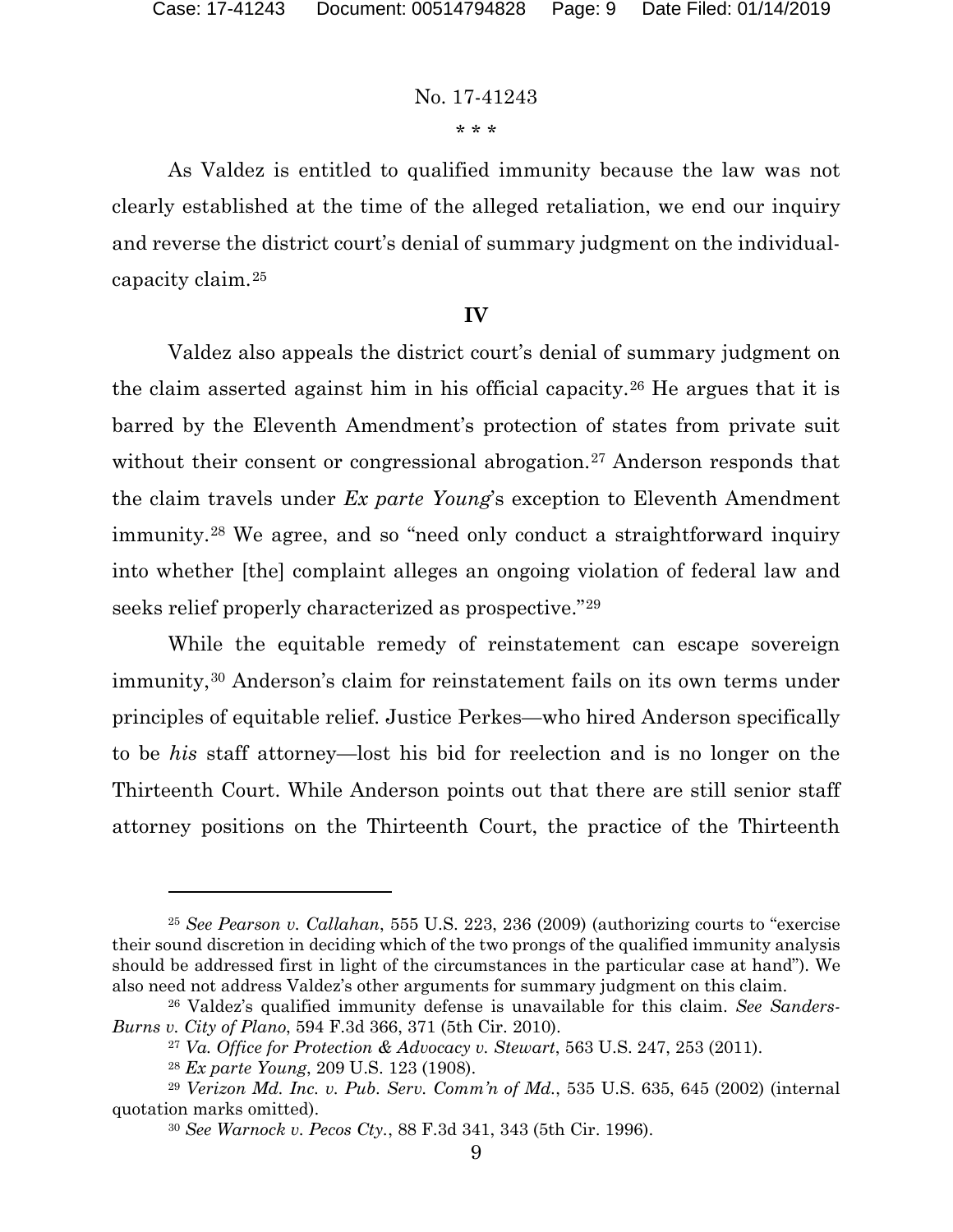\* \* \*

As Valdez is entitled to qualified immunity because the law was not clearly established at the time of the alleged retaliation, we end our inquiry and reverse the district court's denial of summary judgment on the individualcapacity claim.[25](#page-8-0)

### **IV**

Valdez also appeals the district court's denial of summary judgment on the claim asserted against him in his official capacity.[26](#page-8-1) He argues that it is barred by the Eleventh Amendment's protection of states from private suit without their consent or congressional abrogation.<sup>[27](#page-8-2)</sup> Anderson responds that the claim travels under *Ex parte Young*'s exception to Eleventh Amendment immunity.[28](#page-8-3) We agree, and so "need only conduct a straightforward inquiry into whether [the] complaint alleges an ongoing violation of federal law and seeks relief properly characterized as prospective."[29](#page-8-4)

While the equitable remedy of reinstatement can escape sovereign immunity,<sup>[30](#page-8-5)</sup> Anderson's claim for reinstatement fails on its own terms under principles of equitable relief. Justice Perkes—who hired Anderson specifically to be *his* staff attorney—lost his bid for reelection and is no longer on the Thirteenth Court. While Anderson points out that there are still senior staff attorney positions on the Thirteenth Court, the practice of the Thirteenth

<span id="page-8-0"></span><sup>25</sup> *See Pearson v. Callahan*, 555 U.S. 223, 236 (2009) (authorizing courts to "exercise their sound discretion in deciding which of the two prongs of the qualified immunity analysis should be addressed first in light of the circumstances in the particular case at hand"). We also need not address Valdez's other arguments for summary judgment on this claim.

<span id="page-8-2"></span><span id="page-8-1"></span><sup>26</sup> Valdez's qualified immunity defense is unavailable for this claim. *See Sanders-Burns v. City of Plano*, 594 F.3d 366, 371 (5th Cir. 2010).

<sup>27</sup> *Va. Office for Protection & Advocacy v. Stewart*, 563 U.S. 247, 253 (2011).

<sup>28</sup> *Ex parte Young*, 209 U.S. 123 (1908).

<span id="page-8-5"></span><span id="page-8-4"></span><span id="page-8-3"></span><sup>29</sup> *Verizon Md. Inc. v. Pub. Serv. Comm'n of Md.*, 535 U.S. 635, 645 (2002) (internal quotation marks omitted).

<sup>30</sup> *See Warnock v. Pecos Cty.*, 88 F.3d 341, 343 (5th Cir. 1996).